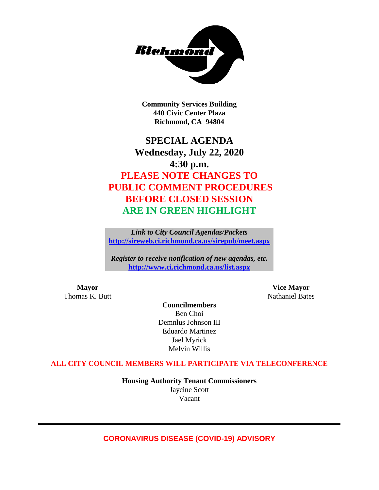

**Community Services Building 440 Civic Center Plaza Richmond, CA 94804**

## **SPECIAL AGENDA Wednesday, July 22, 2020 4:30 p.m. PLEASE NOTE CHANGES TO PUBLIC COMMENT PROCEDURES BEFORE CLOSED SESSION ARE IN GREEN HIGHLIGHT**

*Link to City Council Agendas/Packets* **<http://sireweb.ci.richmond.ca.us/sirepub/meet.aspx>**

*Register to receive notification of new agendas, etc.* **<http://www.ci.richmond.ca.us/list.aspx>**

**Mayor Vice Mayor** Thomas K. Butt Nathaniel Bates

**Councilmembers** Ben Choi Demnlus Johnson III Eduardo Martinez Jael Myrick Melvin Willis

**ALL CITY COUNCIL MEMBERS WILL PARTICIPATE VIA TELECONFERENCE**

**Housing Authority Tenant Commissioners** Jaycine Scott Vacant

### **CORONAVIRUS DISEASE (COVID-19) ADVISORY**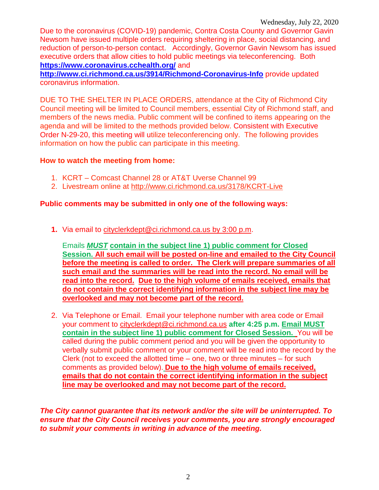Due to the coronavirus (COVID-19) pandemic, Contra Costa County and Governor Gavin Newsom have issued multiple orders requiring sheltering in place, social distancing, and reduction of person-to-person contact. Accordingly, Governor Gavin Newsom has issued executive orders that allow cities to hold public meetings via teleconferencing. Both **<https://www.coronavirus.cchealth.org/>** and

**<http://www.ci.richmond.ca.us/3914/Richmond-Coronavirus-Info>** provide updated coronavirus information.

DUE TO THE SHELTER IN PLACE ORDERS, attendance at the City of Richmond City Council meeting will be limited to Council members, essential City of Richmond staff, and members of the news media. Public comment will be confined to items appearing on the agenda and will be limited to the methods provided below. Consistent with Executive Order N-29-20, this meeting will utilize teleconferencing only. The following provides information on how the public can participate in this meeting.

### **How to watch the meeting from home:**

- 1. KCRT Comcast Channel 28 or AT&T Uverse Channel 99
- 2. Livestream online at<http://www.ci.richmond.ca.us/3178/KCRT-Live>

### **Public comments may be submitted in only one of the following ways:**

**1.** Via email to [cityclerkdept@ci.richmond.ca.us](mailto:cityclerkdept@ci.richmond.ca.us) by 3:00 p.m.

Emails *MUST* **contain in the subject line 1) public comment for Closed Session. All such email will be posted on-line and emailed to the City Council before the meeting is called to order. The Clerk will prepare summaries of all such email and the summaries will be read into the record. No email will be read into the record. Due to the high volume of emails received, emails that do not contain the correct identifying information in the subject line may be overlooked and may not become part of the record.**

2. Via Telephone or Email. Email your telephone number with area code or Email your comment to [cityclerkdept@ci.richmond.ca.us](mailto:cityclerkdept@ci.richmond.ca.us) **after 4:25 p.m. Email MUST contain in the subject line 1) public comment for Closed Session.** You will be called during the public comment period and you will be given the opportunity to verbally submit public comment or your comment will be read into the record by the Clerk (not to exceed the allotted time  $-$  one, two or three minutes  $-$  for such comments as provided below). **Due to the high volume of emails received, emails that do not contain the correct identifying information in the subject line may be overlooked and may not become part of the record.**

*The City cannot guarantee that its network and/or the site will be uninterrupted. To ensure that the City Council receives your comments, you are strongly encouraged to submit your comments in writing in advance of the meeting.*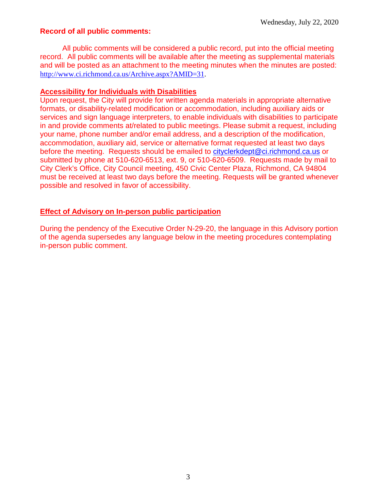### **Record of all public comments:**

All public comments will be considered a public record, put into the official meeting record. All public comments will be available after the meeting as supplemental materials and will be posted as an attachment to the meeting minutes when the minutes are posted: [http://www.ci.richmond.ca.us/Archive.aspx?AMID=31.](http://www.ci.richmond.ca.us/Archive.aspx?AMID=31)

#### **Accessibility for Individuals with Disabilities**

Upon request, the City will provide for written agenda materials in appropriate alternative formats, or disability-related modification or accommodation, including auxiliary aids or services and sign language interpreters, to enable individuals with disabilities to participate in and provide comments at/related to public meetings. Please submit a request, including your name, phone number and/or email address, and a description of the modification, accommodation, auxiliary aid, service or alternative format requested at least two days before the meeting. Requests should be emailed to [cityclerkdept@ci.richmond.ca.us](mailto:cityclerkdept@ci.richmond.ca.us) or submitted by phone at 510-620-6513, ext. 9, or 510-620-6509. Requests made by mail to City Clerk's Office, City Council meeting, 450 Civic Center Plaza, Richmond, CA 94804 must be received at least two days before the meeting. Requests will be granted whenever possible and resolved in favor of accessibility.

### **Effect of Advisory on In-person public participation**

During the pendency of the Executive Order N-29-20, the language in this Advisory portion of the agenda supersedes any language below in the meeting procedures contemplating in-person public comment.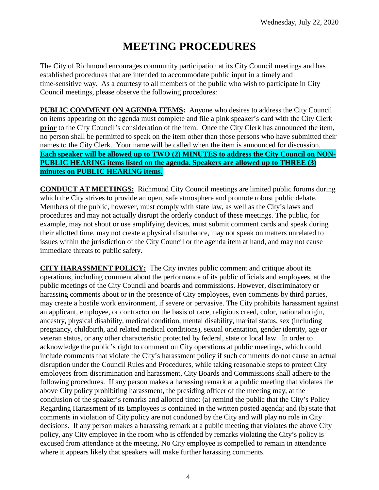# **MEETING PROCEDURES**

The City of Richmond encourages community participation at its City Council meetings and has established procedures that are intended to accommodate public input in a timely and time-sensitive way. As a courtesy to all members of the public who wish to participate in City Council meetings, please observe the following procedures:

**PUBLIC COMMENT ON AGENDA ITEMS:** Anyone who desires to address the City Council on items appearing on the agenda must complete and file a pink speaker's card with the City Clerk **prior** to the City Council's consideration of the item. Once the City Clerk has announced the item, no person shall be permitted to speak on the item other than those persons who have submitted their names to the City Clerk. Your name will be called when the item is announced for discussion. **Each speaker will be allowed up to TWO (2) MINUTES to address the City Council on NON-PUBLIC HEARING items listed on the agenda. Speakers are allowed up to THREE (3) minutes on PUBLIC HEARING items.**

**CONDUCT AT MEETINGS:** Richmond City Council meetings are limited public forums during which the City strives to provide an open, safe atmosphere and promote robust public debate. Members of the public, however, must comply with state law, as well as the City's laws and procedures and may not actually disrupt the orderly conduct of these meetings. The public, for example, may not shout or use amplifying devices, must submit comment cards and speak during their allotted time, may not create a physical disturbance, may not speak on matters unrelated to issues within the jurisdiction of the City Council or the agenda item at hand, and may not cause immediate threats to public safety.

**CITY HARASSMENT POLICY:** The City invites public comment and critique about its operations, including comment about the performance of its public officials and employees, at the public meetings of the City Council and boards and commissions. However, discriminatory or harassing comments about or in the presence of City employees, even comments by third parties, may create a hostile work environment, if severe or pervasive. The City prohibits harassment against an applicant, employee, or contractor on the basis of race, religious creed, color, national origin, ancestry, physical disability, medical condition, mental disability, marital status, sex (including pregnancy, childbirth, and related medical conditions), sexual orientation, gender identity, age or veteran status, or any other characteristic protected by federal, state or local law. In order to acknowledge the public's right to comment on City operations at public meetings, which could include comments that violate the City's harassment policy if such comments do not cause an actual disruption under the Council Rules and Procedures, while taking reasonable steps to protect City employees from discrimination and harassment, City Boards and Commissions shall adhere to the following procedures. If any person makes a harassing remark at a public meeting that violates the above City policy prohibiting harassment, the presiding officer of the meeting may, at the conclusion of the speaker's remarks and allotted time: (a) remind the public that the City's Policy Regarding Harassment of its Employees is contained in the written posted agenda; and (b) state that comments in violation of City policy are not condoned by the City and will play no role in City decisions. If any person makes a harassing remark at a public meeting that violates the above City policy, any City employee in the room who is offended by remarks violating the City's policy is excused from attendance at the meeting. No City employee is compelled to remain in attendance where it appears likely that speakers will make further harassing comments.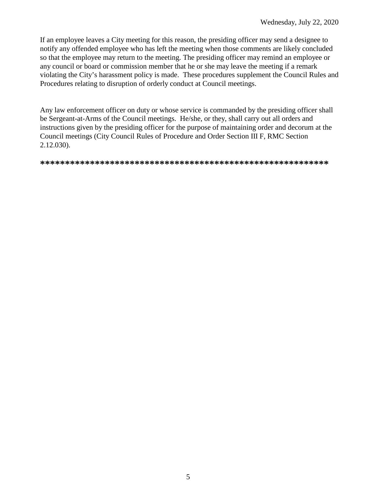If an employee leaves a City meeting for this reason, the presiding officer may send a designee to notify any offended employee who has left the meeting when those comments are likely concluded so that the employee may return to the meeting. The presiding officer may remind an employee or any council or board or commission member that he or she may leave the meeting if a remark violating the City's harassment policy is made. These procedures supplement the Council Rules and Procedures relating to disruption of orderly conduct at Council meetings.

Any law enforcement officer on duty or whose service is commanded by the presiding officer shall be Sergeant-at-Arms of the Council meetings. He/she, or they, shall carry out all orders and instructions given by the presiding officer for the purpose of maintaining order and decorum at the Council meetings (City Council Rules of Procedure and Order Section III F, RMC Section 2.12.030).